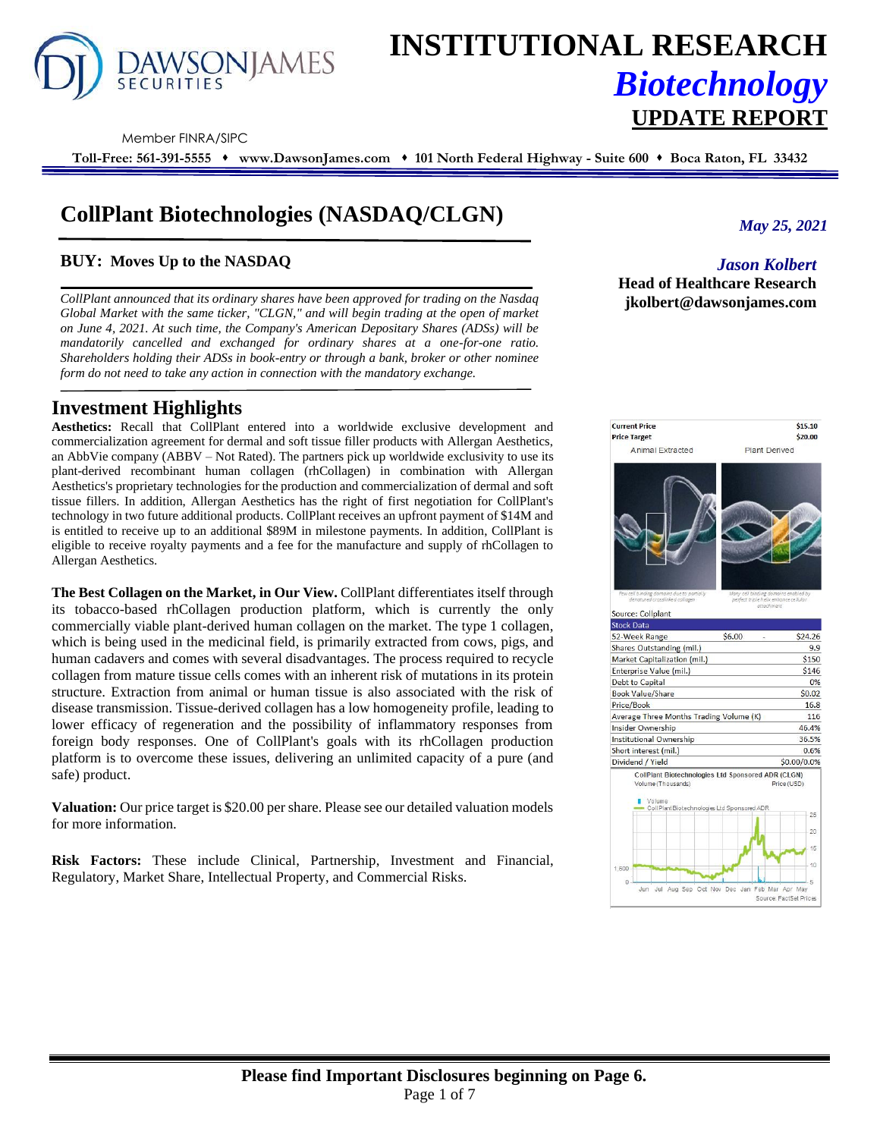

# **INSTITUTIONAL RESEARCH** *Biotechnology* **UPDATE REPORT**

Member FINRA/SIPC

**Toll-Free: 561-391-5555** ⬧ **www.DawsonJames.com** ⬧ **101 North Federal Highway - Suite 600** ⬧ **Boca Raton, FL 33432**

# **CollPlant Biotechnologies (NASDAQ/CLGN)**

### **BUY: Moves Up to the NASDAQ**

*CollPlant announced that its ordinary shares have been approved for trading on the Nasdaq Global Market with the same ticker, "CLGN," and will begin trading at the open of market on June 4, 2021. At such time, the Company's American Depositary Shares (ADSs) will be mandatorily cancelled and exchanged for ordinary shares at a one-for-one ratio. Shareholders holding their ADSs in book-entry or through a bank, broker or other nominee form do not need to take any action in connection with the mandatory exchange.*

## **Investment Highlights**

**Aesthetics:** Recall that CollPlant entered into a worldwide exclusive development and commercialization agreement for dermal and soft tissue filler products with Allergan Aesthetics, an AbbVie company (ABBV – Not Rated). The partners pick up worldwide exclusivity to use its plant-derived recombinant human collagen (rhCollagen) in combination with Allergan Aesthetics's proprietary technologies for the production and commercialization of dermal and soft tissue fillers. In addition, Allergan Aesthetics has the right of first negotiation for CollPlant's technology in two future additional products. CollPlant receives an upfront payment of \$14M and is entitled to receive up to an additional \$89M in milestone payments. In addition, CollPlant is eligible to receive royalty payments and a fee for the manufacture and supply of rhCollagen to Allergan Aesthetics.

**The Best Collagen on the Market, in Our View.** CollPlant differentiates itself through its tobacco-based rhCollagen production platform, which is currently the only commercially viable plant-derived human collagen on the market. The type 1 collagen, which is being used in the medicinal field, is primarily extracted from cows, pigs, and human cadavers and comes with several disadvantages. The process required to recycle collagen from mature tissue cells comes with an inherent risk of mutations in its protein structure. Extraction from animal or human tissue is also associated with the risk of disease transmission. Tissue-derived collagen has a low homogeneity profile, leading to lower efficacy of regeneration and the possibility of inflammatory responses from foreign body responses. One of CollPlant's goals with its rhCollagen production platform is to overcome these issues, delivering an unlimited capacity of a pure (and safe) product.

**Valuation:** Our price target is \$20.00 per share. Please see our detailed valuation models for more information.

**Risk Factors:** These include Clinical, Partnership, Investment and Financial, Regulatory, Market Share, Intellectual Property, and Commercial Risks.

*May 25, 2021*

*Jason Kolbert* **Head of Healthcare Research jkolbert@dawsonjames.com**

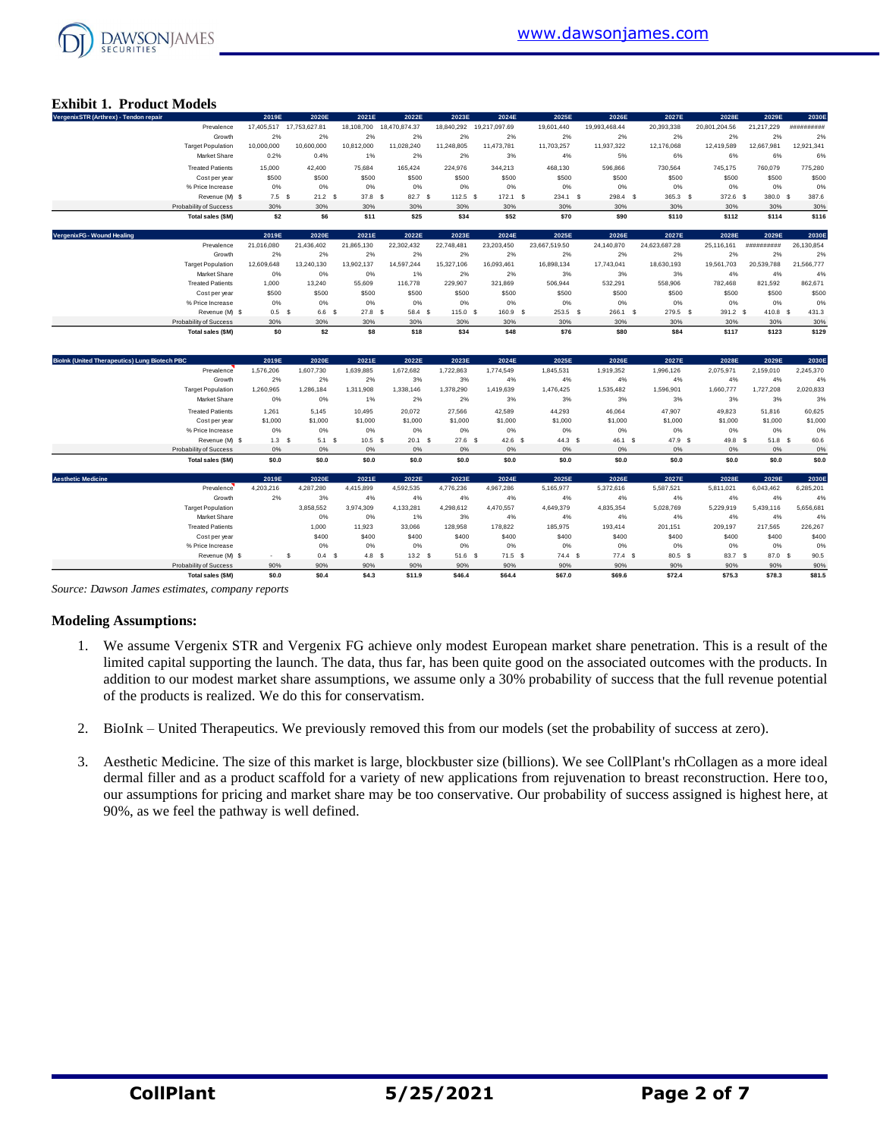

#### **Exhibit 1. Product Models**

| VergenixSTR (Arthrex) - Tendon repair                |                          | 2019E            | 2020E                    | 2021E            | 2022E         | 2023E      | 2024E         | 2025E             | 2026E         | 2027E         | 2028E         | 2029E      | 2030E      |
|------------------------------------------------------|--------------------------|------------------|--------------------------|------------------|---------------|------------|---------------|-------------------|---------------|---------------|---------------|------------|------------|
|                                                      | Prevalence               |                  | 17,405,517 17,753,627.81 | 18,108,700       | 18,470,874.37 | 18.840.292 | 19,217,097.69 | 19,601.440        | 19,993,468.44 | 20,393,338    | 20,801,204.56 | 21,217,229 | ########## |
|                                                      | Growth                   | 2%               | 2%                       | 2%               | 2%            | 2%         | 2%            | 2%                | 2%            | 2%            | 2%            | 2%         | 2%         |
|                                                      | <b>Target Population</b> | 10,000,000       | 10,600,000               | 10,812,000       | 11,028,240    | 11,248,805 | 11,473,781    | 11,703,257        | 11,937,322    | 12,176,068    | 12,419,589    | 12.667.981 | 12,921,341 |
|                                                      | Market Share             | 0.2%             | 0.4%                     | 1%               | 2%            | 2%         | 3%            | 4%                | 5%            | 6%            | 6%            | 6%         | 6%         |
|                                                      | <b>Treated Patients</b>  | 15,000           | 42,400                   | 75,684           | 165,424       | 224,976    | 344,213       | 468,130           | 596,866       | 730,564       | 745,175       | 760,079    | 775,280    |
|                                                      | Cost per year            | \$500            | \$500                    | \$500            | \$500         | \$500      | \$500         | \$500             | \$500         | \$500         | \$500         | \$500      | \$500      |
|                                                      | % Price Increase         | 0%               | 0%                       | 0%               | 0%            | 0%         | 0%            | 0%                | 0%            | 0%            | 0%            | 0%         | 0%         |
|                                                      | Revenue (M) \$           | $7.5-5$          | 21.2 <sup>5</sup>        | $37.8-5$         | 82.7 S        | $112.5$ \$ | $172.1$ \$    | 234.1 \$          | 298.4 \$      | 365.3 \$      | 372.6 \$      | 380.0 S    | 387.6      |
|                                                      | Probability of Success   | 30%              | 30%                      | 30%              | 30%           | 30%        | 30%           | 30%               | 30%           | 30%           | 30%           | 30%        | 30%        |
|                                                      | Total sales (\$M)        | \$2              | \$6                      | \$11             | \$25          | \$34       | \$52          | \$70              | \$90          | \$110         | \$112         | \$114      | \$116      |
| VergenixFG - Wound Healing                           |                          | 2019E            | 2020E                    | 2021E            | 2022E         | 2023E      | 2024E         | 2025E             | 2026E         | 2027E         | 2028E         | 2029E      | 2030E      |
|                                                      | Prevalence               | 21,016,080       | 21,436,402               | 21,865,130       | 22,302,432    | 22,748,481 | 23,203,450    | 23,667,519.50     | 24,140,870    | 24,623,687.28 | 25,116,161    | ########## | 26,130,854 |
|                                                      | Growth                   | 2%               | 2%                       | 2%               | 2%            | 2%         | 2%            | 2%                | 2%            | 2%            | 2%            | 2%         | 2%         |
|                                                      | <b>Target Population</b> | 12,609,648       | 13,240,130               | 13,902,137       | 14,597,244    | 15,327,106 | 16,093,461    | 16,898,134        | 17,743,041    | 18,630,193    | 19,561,703    | 20,539,788 | 21,566,777 |
|                                                      | Market Share             | 0%               | 0%                       | 0%               | 1%            | 2%         | 2%            | 3%                | 3%            | 3%            | 4%            | 4%         | 4%         |
|                                                      | <b>Treated Patients</b>  | 1,000            | 13,240                   | 55,609           | 116,778       | 229,907    | 321,869       | 506,944           | 532,291       | 558,906       | 782,468       | 821,592    | 862,671    |
|                                                      | Cost per year            | \$500            | \$500                    | \$500            | \$500         | \$500      | \$500         | \$500             | \$500         | \$500         | \$500         | \$500      | \$500      |
|                                                      | % Price Increase         | 0%               | 0%                       | 0%               | 0%            | 0%         | 0%            | 0%                | 0%            | 0%            | 0%            | 0%         | 0%         |
|                                                      | Revenue (M) \$           | 0.5 <sup>5</sup> | 6.6                      | 27.8 S<br>- S    | 58.4 S        | 115.0 S    | 160.9 \$      | $253.5$ \$        | 266.1 \$      | 279.5 \$      | 391.2 \$      | 410.8 S    | 431.3      |
|                                                      | Probability of Success   | 30%              | 30%                      | 30%              | 30%           | 30%        | 30%           | 30%               | 30%           | 30%           | 30%           | 30%        | 30%        |
|                                                      | Total sales (\$M)        | \$0              | \$2                      | \$8              | \$18          | \$34       | \$48          | \$76              | \$80          | \$84          | \$117         | \$123      | \$129      |
|                                                      |                          |                  |                          |                  |               |            |               |                   |               |               |               |            |            |
| <b>Biolnk (United Therapeutics) Lung Biotech PBC</b> |                          | 2019E            | 2020E                    | 2021E            | 2022E         | 2023E      | 2024E         | 2025E             | 2026E         | 2027E         | 2028E         | 2029E      | 2030E      |
|                                                      | Prevalence               | 1,576,206        | 1,607,730                | 1,639,885        | 1,672,682     | 1,722,863  | 1,774,549     | 1,845,531         | 1,919,352     | 1,996,126     | 2,075,971     | 2,159,010  | 2,245,370  |
|                                                      | Growth                   | 2%               | 2%                       | 2%               | 3%            | 3%         | 4%            | 4%                | 4%            | 4%            | 4%            | 4%         | 4%         |
|                                                      | <b>Target Population</b> | 1,260,965        | 1,286,184                | 1,311,908        | 1,338,146     | 1,378,290  | 1,419,639     | 1,476,425         | 1,535,482     | 1,596,901     | 1,660,777     | 1,727,208  | 2,020,833  |
|                                                      | Market Share             | 0%               | 0%                       | 1%               | 2%            | 2%         | 3%            | 3%                | 3%            | 3%            | 3%            | 3%         | 3%         |
|                                                      | <b>Treated Patients</b>  | 1,261            | 5.145                    | 10,495           | 20,072        | 27.566     | 42,589        | 44.293            | 46,064        | 47,907        | 49,823        | 51,816     | 60,625     |
|                                                      | Cost per year            | \$1,000          | \$1,000                  | \$1,000          | \$1,000       | \$1,000    | \$1,000       | \$1,000           | \$1,000       | \$1,000       | \$1,000       | \$1,000    | \$1,000    |
|                                                      | % Price Increase         | 0%               | 0%                       | 0%               | 0%            | 0%         | 0%            | 0%                | 0%            | 0%            | 0%            | 0%         | 0%         |
|                                                      | Revenue (M) \$           | 1.3 <sup>5</sup> | 5.1 S                    | $10.5$ \$        | 20.1 S        | $27.6$ \$  | $42.6$ \$     | 44.3 <sup>5</sup> | 46.1 \$       | $47.9$ \$     | 49.8 \$       | 51.8 S     | 60.6       |
|                                                      | Probability of Success   | 0%               | 0%                       | 0%               | 0%            | 0%         | 0%            | 0%                | 0%            | 0%            | 0%            | 0%         | $0\%$      |
|                                                      | Total sales (\$M)        | \$0.0            | \$0.0                    | \$0.0            | \$0.0         | \$0.0      | \$0.0         | \$0.0             | \$0.0         | \$0.0         | \$0.0         | \$0.0      | \$0.0      |
| <b>Aesthetic Medicine</b>                            |                          | 2019E            | 2020E                    | 2021E            | 2022E         | 2023E      | 2024E         | 2025E             | 2026E         | 2027E         | 2028E         | 2029E      | 2030E      |
|                                                      | Prevalence               | 4,203,216        | 4,287,280                | 4,415,899        | 4,592,535     | 4,776,236  | 4,967,286     | 5,165,977         | 5,372,616     | 5,587,521     | 5,811,021     | 6,043,462  | 6,285,201  |
|                                                      | Growth                   | 2%               | 3%                       | 4%               | 4%            | 4%         | 4%            | 4%                | 4%            | 4%            | 4%            | 4%         | 4%         |
|                                                      | <b>Target Population</b> |                  | 3,858,552                | 3,974,309        | 4,133,281     | 4,298,612  | 4,470,557     | 4,649,379         | 4,835,354     | 5,028,769     | 5.229.919     | 5,439,116  | 5,656,681  |
|                                                      | Market Share             |                  | 0%                       | 0%               | 1%            | 3%         | 4%            | 4%                | 4%            | 4%            | 4%            | 4%         | 4%         |
|                                                      | <b>Treated Patients</b>  |                  | 1.000                    | 11,923           | 33.066        | 128.958    | 178,822       | 185.975           | 193,414       | 201,151       | 209.197       | 217.565    | 226,267    |
|                                                      | Cost per year            |                  | \$400                    | \$400            | \$400         | \$400      | \$400         | \$400             | \$400         | \$400         | \$400         | \$400      | \$400      |
|                                                      | % Price Increase         |                  | 0%                       | 0%               | 0%            | 0%         | 0%            | 0%                | 0%            | 0%            | 0%            | 0%         | 0%         |
|                                                      | Revenue (M) \$           | $\sim$           | \$<br>0.4 <sup>5</sup>   | 4.8 <sup>5</sup> | $13.2-5$      | $51.6$ \$  | $71.5$ \$     | $74.4$ \$         | $77.4$ \$     | 80.5 \$       | 83.7 \$       | 87.0 \$    | 90.5       |
|                                                      | Probability of Success   | 90%              | 90%                      | 90%              | 90%           | 90%        | 90%           | 90%               | 90%           | 90%           | 90%           | 90%        | 90%        |
|                                                      | Total sales (\$M)        | \$0.0            | \$0.4                    | \$4.3            | \$11.9        | \$46.4     | \$64.4        | \$67.0            | \$69.6        | \$72.4        | \$75.3        | \$78.3     | \$81.5     |

*Source: Dawson James estimates, company reports*

#### **Modeling Assumptions:**

- 1. We assume Vergenix STR and Vergenix FG achieve only modest European market share penetration. This is a result of the limited capital supporting the launch. The data, thus far, has been quite good on the associated outcomes with the products. In addition to our modest market share assumptions, we assume only a 30% probability of success that the full revenue potential of the products is realized. We do this for conservatism.
- 2. BioInk United Therapeutics. We previously removed this from our models (set the probability of success at zero).
- 3. Aesthetic Medicine. The size of this market is large, blockbuster size (billions). We see CollPlant's rhCollagen as a more ideal dermal filler and as a product scaffold for a variety of new applications from rejuvenation to breast reconstruction. Here too, our assumptions for pricing and market share may be too conservative. Our probability of success assigned is highest here, at 90%, as we feel the pathway is well defined.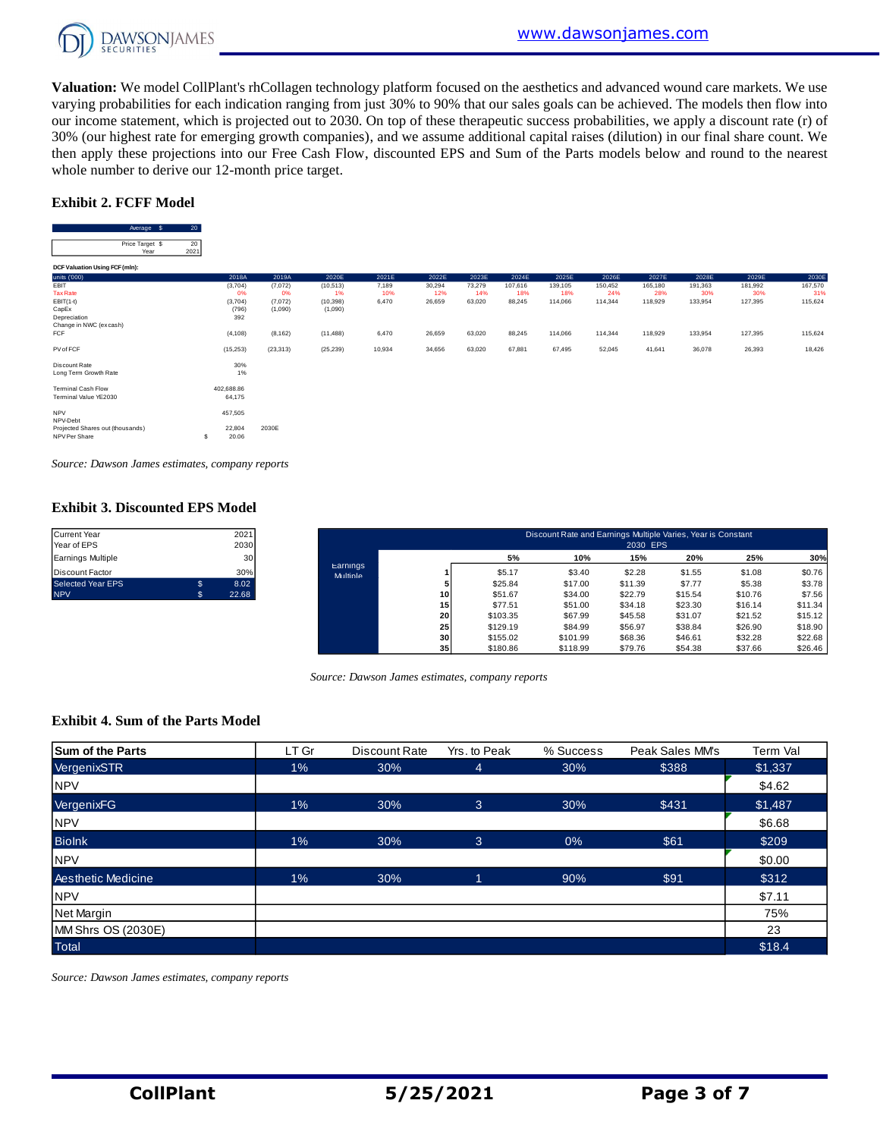

**Valuation:** We model CollPlant's rhCollagen technology platform focused on the aesthetics and advanced wound care markets. We use varying probabilities for each indication ranging from just 30% to 90% that our sales goals can be achieved. The models then flow into our income statement, which is projected out to 2030. On top of these therapeutic success probabilities, we apply a discount rate (r) of 30% (our highest rate for emerging growth companies), and we assume additional capital raises (dilution) in our final share count. We then apply these projections into our Free Cash Flow, discounted EPS and Sum of the Parts models below and round to the nearest whole number to derive our 12-month price target.

#### **Exhibit 2. FCFF Model**

| Average \$                       | 20                                                                                                                                                                                                                                                                                                                                                                                                                                                                         |                      |                                                                                                                                                      |                                                                                                                                                                                                                                                                                                                                                                                                                                                                            |          |                        |                                                                                                                                                                                                                                                                                                                                                                                                                                                                            |          |                        |             |             |                                                                                                                                                                                                                                                                                                                                                                                                                                                                            |                        |
|----------------------------------|----------------------------------------------------------------------------------------------------------------------------------------------------------------------------------------------------------------------------------------------------------------------------------------------------------------------------------------------------------------------------------------------------------------------------------------------------------------------------|----------------------|------------------------------------------------------------------------------------------------------------------------------------------------------|----------------------------------------------------------------------------------------------------------------------------------------------------------------------------------------------------------------------------------------------------------------------------------------------------------------------------------------------------------------------------------------------------------------------------------------------------------------------------|----------|------------------------|----------------------------------------------------------------------------------------------------------------------------------------------------------------------------------------------------------------------------------------------------------------------------------------------------------------------------------------------------------------------------------------------------------------------------------------------------------------------------|----------|------------------------|-------------|-------------|----------------------------------------------------------------------------------------------------------------------------------------------------------------------------------------------------------------------------------------------------------------------------------------------------------------------------------------------------------------------------------------------------------------------------------------------------------------------------|------------------------|
| Price Target \$<br>2021<br>Year  | 20                                                                                                                                                                                                                                                                                                                                                                                                                                                                         |                      |                                                                                                                                                      |                                                                                                                                                                                                                                                                                                                                                                                                                                                                            |          |                        |                                                                                                                                                                                                                                                                                                                                                                                                                                                                            |          |                        |             |             |                                                                                                                                                                                                                                                                                                                                                                                                                                                                            |                        |
| DCF Valuation Using FCF (mln):   | $\frac{1}{2} \left( \frac{1}{2} \right) \left( \frac{1}{2} \right) \left( \frac{1}{2} \right) \left( \frac{1}{2} \right) \left( \frac{1}{2} \right) \left( \frac{1}{2} \right) \left( \frac{1}{2} \right) \left( \frac{1}{2} \right) \left( \frac{1}{2} \right) \left( \frac{1}{2} \right) \left( \frac{1}{2} \right) \left( \frac{1}{2} \right) \left( \frac{1}{2} \right) \left( \frac{1}{2} \right) \left( \frac{1}{2} \right) \left( \frac{1}{2} \right) \left( \frac$ | $\sim$ $\sim$ $\sim$ | $\frac{1}{2} \left( \frac{1}{2} \right) \left( \frac{1}{2} \right) \left( \frac{1}{2} \right) \left( \frac{1}{2} \right) \left( \frac{1}{2} \right)$ | $\frac{1}{2} \left( \frac{1}{2} \right) \left( \frac{1}{2} \right) \left( \frac{1}{2} \right) \left( \frac{1}{2} \right) \left( \frac{1}{2} \right) \left( \frac{1}{2} \right) \left( \frac{1}{2} \right) \left( \frac{1}{2} \right) \left( \frac{1}{2} \right) \left( \frac{1}{2} \right) \left( \frac{1}{2} \right) \left( \frac{1}{2} \right) \left( \frac{1}{2} \right) \left( \frac{1}{2} \right) \left( \frac{1}{2} \right) \left( \frac{1}{2} \right) \left( \frac$ | $\cdots$ | $\cdots \cdots \cdots$ | $\frac{1}{2} \left( \frac{1}{2} \right) \left( \frac{1}{2} \right) \left( \frac{1}{2} \right) \left( \frac{1}{2} \right) \left( \frac{1}{2} \right) \left( \frac{1}{2} \right) \left( \frac{1}{2} \right) \left( \frac{1}{2} \right) \left( \frac{1}{2} \right) \left( \frac{1}{2} \right) \left( \frac{1}{2} \right) \left( \frac{1}{2} \right) \left( \frac{1}{2} \right) \left( \frac{1}{2} \right) \left( \frac{1}{2} \right) \left( \frac{1}{2} \right) \left( \frac$ | $\cdots$ | $\cdots \cdots \cdots$ | $- - - - -$ | $- - - - -$ | $\frac{1}{2} \left( \frac{1}{2} \right) \left( \frac{1}{2} \right) \left( \frac{1}{2} \right) \left( \frac{1}{2} \right) \left( \frac{1}{2} \right) \left( \frac{1}{2} \right) \left( \frac{1}{2} \right) \left( \frac{1}{2} \right) \left( \frac{1}{2} \right) \left( \frac{1}{2} \right) \left( \frac{1}{2} \right) \left( \frac{1}{2} \right) \left( \frac{1}{2} \right) \left( \frac{1}{2} \right) \left( \frac{1}{2} \right) \left( \frac{1}{2} \right) \left( \frac$ | $\cdots \cdots \cdots$ |
| units ('000)                     | 2018A                                                                                                                                                                                                                                                                                                                                                                                                                                                                      | 2019A                | 2020E                                                                                                                                                | 2021E                                                                                                                                                                                                                                                                                                                                                                                                                                                                      | 2022E    | 2023E                  | 2024E                                                                                                                                                                                                                                                                                                                                                                                                                                                                      | 2025E    | 2026E                  | 2027E       | 2028E       | 2029E                                                                                                                                                                                                                                                                                                                                                                                                                                                                      | 2030E                  |
| EBIT                             | (3,704)                                                                                                                                                                                                                                                                                                                                                                                                                                                                    | (7,072)              | (10, 513)                                                                                                                                            | 7,189                                                                                                                                                                                                                                                                                                                                                                                                                                                                      | 30,294   | 73,279                 | 107,616                                                                                                                                                                                                                                                                                                                                                                                                                                                                    | 139,105  | 150,452                | 165,180     | 191,363     | 181,992                                                                                                                                                                                                                                                                                                                                                                                                                                                                    | 167,570                |
| <b>Tax Rate</b>                  | 0%                                                                                                                                                                                                                                                                                                                                                                                                                                                                         | 0%                   | 1%                                                                                                                                                   | 10%                                                                                                                                                                                                                                                                                                                                                                                                                                                                        | 12%      | 14%                    | 18%                                                                                                                                                                                                                                                                                                                                                                                                                                                                        | 18%      | 24%                    | 28%         | 30%         | 30%                                                                                                                                                                                                                                                                                                                                                                                                                                                                        | 31%                    |
| $EBIT(1-t)$                      | (3,704)                                                                                                                                                                                                                                                                                                                                                                                                                                                                    | (7,072)              | (10, 398)                                                                                                                                            | 6,470                                                                                                                                                                                                                                                                                                                                                                                                                                                                      | 26,659   | 63,020                 | 88,245                                                                                                                                                                                                                                                                                                                                                                                                                                                                     | 114,066  | 114,344                | 118,929     | 133,954     | 127,395                                                                                                                                                                                                                                                                                                                                                                                                                                                                    | 115,624                |
| CapEx                            | (796)                                                                                                                                                                                                                                                                                                                                                                                                                                                                      | (1,090)              | (1,090)                                                                                                                                              |                                                                                                                                                                                                                                                                                                                                                                                                                                                                            |          |                        |                                                                                                                                                                                                                                                                                                                                                                                                                                                                            |          |                        |             |             |                                                                                                                                                                                                                                                                                                                                                                                                                                                                            |                        |
| Depreciation                     | 392                                                                                                                                                                                                                                                                                                                                                                                                                                                                        |                      |                                                                                                                                                      |                                                                                                                                                                                                                                                                                                                                                                                                                                                                            |          |                        |                                                                                                                                                                                                                                                                                                                                                                                                                                                                            |          |                        |             |             |                                                                                                                                                                                                                                                                                                                                                                                                                                                                            |                        |
| Change in NWC (excash)           |                                                                                                                                                                                                                                                                                                                                                                                                                                                                            |                      |                                                                                                                                                      |                                                                                                                                                                                                                                                                                                                                                                                                                                                                            |          |                        |                                                                                                                                                                                                                                                                                                                                                                                                                                                                            |          |                        |             |             |                                                                                                                                                                                                                                                                                                                                                                                                                                                                            |                        |
| FCF                              | (4, 108)                                                                                                                                                                                                                                                                                                                                                                                                                                                                   | (8, 162)             | (11, 488)                                                                                                                                            | 6,470                                                                                                                                                                                                                                                                                                                                                                                                                                                                      | 26,659   | 63,020                 | 88,245                                                                                                                                                                                                                                                                                                                                                                                                                                                                     | 114,066  | 114,344                | 118,929     | 133,954     | 127,395                                                                                                                                                                                                                                                                                                                                                                                                                                                                    | 115,624                |
| PV of FCF                        | (15, 253)                                                                                                                                                                                                                                                                                                                                                                                                                                                                  | (23, 313)            | (25, 239)                                                                                                                                            | 10,934                                                                                                                                                                                                                                                                                                                                                                                                                                                                     | 34,656   | 63,020                 | 67,881                                                                                                                                                                                                                                                                                                                                                                                                                                                                     | 67,495   | 52,045                 | 41,641      | 36,078      | 26,393                                                                                                                                                                                                                                                                                                                                                                                                                                                                     | 18,426                 |
| Discount Rate                    | 30%                                                                                                                                                                                                                                                                                                                                                                                                                                                                        |                      |                                                                                                                                                      |                                                                                                                                                                                                                                                                                                                                                                                                                                                                            |          |                        |                                                                                                                                                                                                                                                                                                                                                                                                                                                                            |          |                        |             |             |                                                                                                                                                                                                                                                                                                                                                                                                                                                                            |                        |
| Long Term Growth Rate            | 1%                                                                                                                                                                                                                                                                                                                                                                                                                                                                         |                      |                                                                                                                                                      |                                                                                                                                                                                                                                                                                                                                                                                                                                                                            |          |                        |                                                                                                                                                                                                                                                                                                                                                                                                                                                                            |          |                        |             |             |                                                                                                                                                                                                                                                                                                                                                                                                                                                                            |                        |
| <b>Terminal Cash Flow</b>        | 402,688.86                                                                                                                                                                                                                                                                                                                                                                                                                                                                 |                      |                                                                                                                                                      |                                                                                                                                                                                                                                                                                                                                                                                                                                                                            |          |                        |                                                                                                                                                                                                                                                                                                                                                                                                                                                                            |          |                        |             |             |                                                                                                                                                                                                                                                                                                                                                                                                                                                                            |                        |
| Terminal Value YE2030            | 64,175                                                                                                                                                                                                                                                                                                                                                                                                                                                                     |                      |                                                                                                                                                      |                                                                                                                                                                                                                                                                                                                                                                                                                                                                            |          |                        |                                                                                                                                                                                                                                                                                                                                                                                                                                                                            |          |                        |             |             |                                                                                                                                                                                                                                                                                                                                                                                                                                                                            |                        |
|                                  |                                                                                                                                                                                                                                                                                                                                                                                                                                                                            |                      |                                                                                                                                                      |                                                                                                                                                                                                                                                                                                                                                                                                                                                                            |          |                        |                                                                                                                                                                                                                                                                                                                                                                                                                                                                            |          |                        |             |             |                                                                                                                                                                                                                                                                                                                                                                                                                                                                            |                        |
| <b>NPV</b><br>NPV-Debt           | 457,505                                                                                                                                                                                                                                                                                                                                                                                                                                                                    |                      |                                                                                                                                                      |                                                                                                                                                                                                                                                                                                                                                                                                                                                                            |          |                        |                                                                                                                                                                                                                                                                                                                                                                                                                                                                            |          |                        |             |             |                                                                                                                                                                                                                                                                                                                                                                                                                                                                            |                        |
| Projected Shares out (thousands) | 22,804                                                                                                                                                                                                                                                                                                                                                                                                                                                                     | 2030E                |                                                                                                                                                      |                                                                                                                                                                                                                                                                                                                                                                                                                                                                            |          |                        |                                                                                                                                                                                                                                                                                                                                                                                                                                                                            |          |                        |             |             |                                                                                                                                                                                                                                                                                                                                                                                                                                                                            |                        |
| NPV Per Share                    | 20.06<br>s                                                                                                                                                                                                                                                                                                                                                                                                                                                                 |                      |                                                                                                                                                      |                                                                                                                                                                                                                                                                                                                                                                                                                                                                            |          |                        |                                                                                                                                                                                                                                                                                                                                                                                                                                                                            |          |                        |             |             |                                                                                                                                                                                                                                                                                                                                                                                                                                                                            |                        |
|                                  |                                                                                                                                                                                                                                                                                                                                                                                                                                                                            |                      |                                                                                                                                                      |                                                                                                                                                                                                                                                                                                                                                                                                                                                                            |          |                        |                                                                                                                                                                                                                                                                                                                                                                                                                                                                            |          |                        |             |             |                                                                                                                                                                                                                                                                                                                                                                                                                                                                            |                        |

*Source: Dawson James estimates, company reports*

#### **Exhibit 3. Discounted EPS Model**

| Current Year      | 2021  |                      |                 |          | Discount Rate and Earnings Multiple Varies, Year is Constant |          |         |         |         |
|-------------------|-------|----------------------|-----------------|----------|--------------------------------------------------------------|----------|---------|---------|---------|
| Year of EPS       | 2030  |                      |                 |          |                                                              | 2030 EPS |         |         |         |
| Earnings Multiple | 30    |                      |                 | 5%       | 10%                                                          | 15%      | 20%     | 25%     | 30%     |
| Discount Factor   | 30%   | Earnings<br>Multiple |                 | \$5.17   | \$3.40                                                       | \$2.28   | \$1.55  | \$1.08  | \$0.76  |
| Selected Year EPS | 8.02  |                      |                 | \$25.84  | \$17.00                                                      | \$11.39  | \$7.77  | \$5.38  | \$3.78  |
| <b>NPV</b>        | 22.68 |                      | 10              | \$51.67  | \$34.00                                                      | \$22.79  | \$15.54 | \$10.76 | \$7.56  |
|                   |       |                      | 15 <sub>1</sub> | \$77.51  | \$51.00                                                      | \$34.18  | \$23.30 | \$16.14 | \$11.34 |
|                   |       |                      | 20              | \$103.35 | \$67.99                                                      | \$45.58  | \$31.07 | \$21.52 | \$15.12 |
|                   |       |                      | 25              | \$129.19 | \$84.99                                                      | \$56.97  | \$38.84 | \$26.90 | \$18.90 |
|                   |       |                      | 30 <sup>1</sup> | \$155.02 | \$101.99                                                     | \$68.36  | \$46.61 | \$32.28 | \$22.68 |
|                   |       |                      | 35              | \$180.86 | \$118.99                                                     | \$79.76  | \$54.38 | \$37.66 | \$26.46 |

*Source: Dawson James estimates, company reports*

#### **Exhibit 4. Sum of the Parts Model**

| <b>Sum of the Parts</b>   | LT Gr | Discount Rate | Yrs. to Peak | % Success | Peak Sales MM's | Term Val |
|---------------------------|-------|---------------|--------------|-----------|-----------------|----------|
| VergenixSTR               | $1\%$ | 30%           | 4            | 30%       | \$388           | \$1,337  |
| <b>NPV</b>                |       |               |              |           |                 | \$4.62   |
| VergenixFG                | 1%    | 30%           | 3            | 30%       | \$431           | \$1,487  |
| <b>NPV</b>                |       |               |              |           |                 | \$6.68   |
| <b>Biolnk</b>             | 1%    | 30%           | 3            | 0%        | \$61            | \$209    |
| <b>NPV</b>                |       |               |              |           |                 | \$0.00   |
| <b>Aesthetic Medicine</b> | $1\%$ | 30%           |              | 90%       | \$91            | \$312    |
| <b>NPV</b>                |       |               |              |           |                 | \$7.11   |
| Net Margin                |       |               |              |           |                 | 75%      |
| MM Shrs OS (2030E)        |       |               |              |           |                 | 23       |
| Total                     |       |               |              |           |                 | \$18.4   |

*Source: Dawson James estimates, company reports*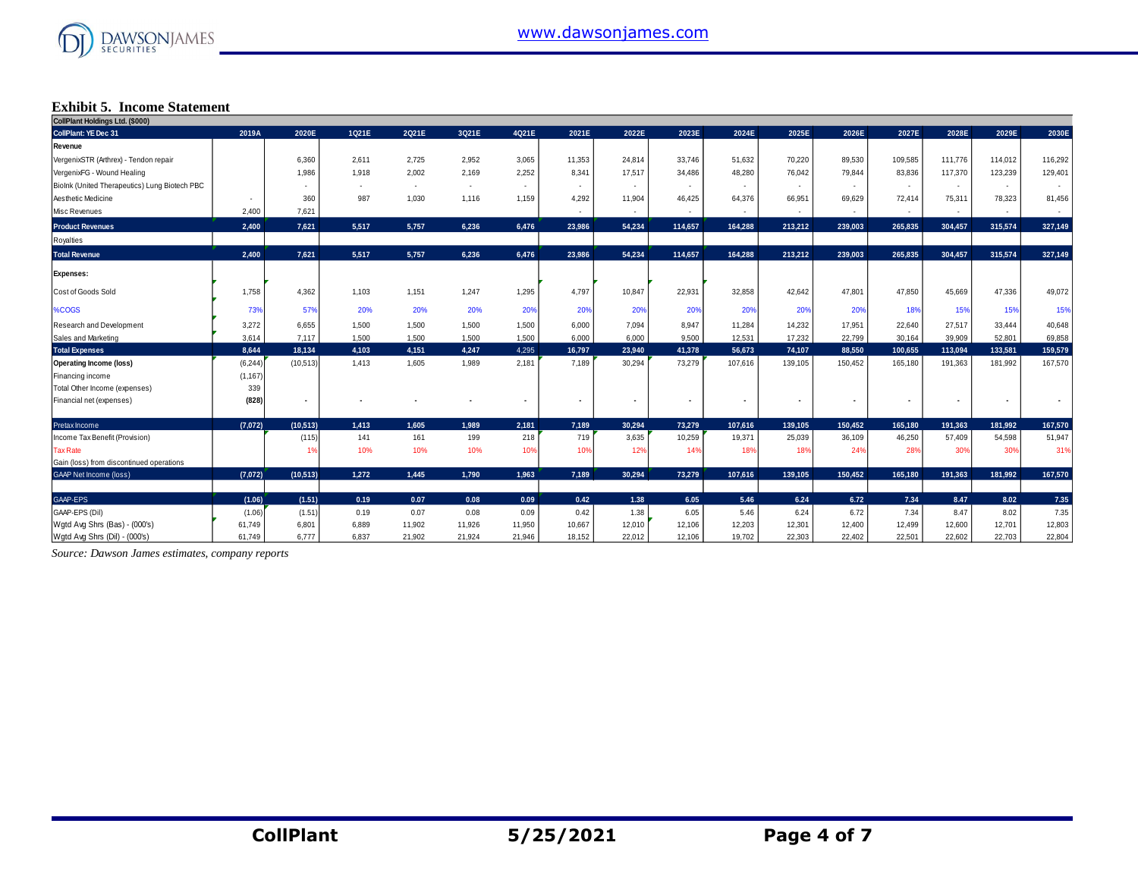

#### **Exhibit 5. Income Statement**

| <b>CollPlant Holdings Ltd. (\$000)</b>        |          |           |        |        |        |        |        |        |         |         |         |         |                          |         |         |         |
|-----------------------------------------------|----------|-----------|--------|--------|--------|--------|--------|--------|---------|---------|---------|---------|--------------------------|---------|---------|---------|
| <b>CollPlant: YE Dec 31</b>                   | 2019A    | 2020E     | 1021E  | 2Q21E  | 3Q21E  | 4Q21E  | 2021E  | 2022E  | 2023E   | 2024E   | 2025E   | 2026E   | 2027E                    | 2028E   | 2029E   | 2030E   |
| Revenue                                       |          |           |        |        |        |        |        |        |         |         |         |         |                          |         |         |         |
| VergenixSTR (Arthrex) - Tendon repair         |          | 6,360     | 2.611  | 2,725  | 2,952  | 3,065  | 11,353 | 24,814 | 33,746  | 51,632  | 70,220  | 89,530  | 109,585                  | 111.776 | 114,012 | 116,292 |
| VergenixFG - Wound Healing                    |          | 1,986     | 1,918  | 2,002  | 2,169  | 2,252  | 8,341  | 17,517 | 34,486  | 48,280  | 76,042  | 79,844  | 83,836                   | 117,370 | 123,239 | 129,401 |
| Biolnk (United Therapeutics) Lung Biotech PBC |          |           | $\sim$ | $\sim$ | $\sim$ | $\sim$ |        |        |         |         | $\sim$  |         | $\overline{\phantom{a}}$ | ٠       |         |         |
| Aesthetic Medicine                            |          | 360       | 987    | 1,030  | 1,116  | 1,159  | 4,292  | 11,904 | 46,425  | 64,376  | 66,951  | 69,629  | 72,414                   | 75,311  | 78,323  | 81,456  |
| <b>Misc Revenues</b>                          | 2,400    | 7,621     |        |        |        |        | $\sim$ | $\sim$ | $\sim$  | $\sim$  | $\sim$  | $\sim$  | $\sim$                   | ٠       | $\sim$  | $\sim$  |
| <b>Product Revenues</b>                       | 2,400    | 7,621     | 5.517  | 5.757  | 6.236  | 6.476  | 23.986 | 54.234 | 114.657 | 164.288 | 213.212 | 239.003 | 265.835                  | 304.457 | 315.574 | 327,149 |
| Royalties                                     |          |           |        |        |        |        |        |        |         |         |         |         |                          |         |         |         |
| <b>Total Revenue</b>                          | 2,400    | 7,621     | 5,517  | 5,757  | 6.236  | 6,476  | 23,986 | 54,234 | 114,657 | 164,288 | 213,212 | 239,003 | 265.835                  | 304,457 | 315,574 | 327,149 |
| Expenses:                                     |          |           |        |        |        |        |        |        |         |         |         |         |                          |         |         |         |
| Cost of Goods Sold                            | 1,758    | 4,362     | 1,103  | 1,151  | 1,247  | 1,295  | 4,797  | 10,847 | 22,931  | 32,858  | 42,642  | 47,801  | 47,850                   | 45,669  | 47,336  | 49,072  |
| %COGS                                         | 73%      | 57%       | 20%    | 20%    | 20%    | 20%    | 20%    | 20%    | 20%     | 20%     | 20%     | 20%     | 18%                      | 15%     | 15%     | 15%     |
| Research and Development                      | 3,272    | 6,655     | 1,500  | 1,500  | 1,500  | 1,500  | 6,000  | 7,094  | 8,947   | 11,284  | 14,232  | 17,951  | 22,640                   | 27,517  | 33,444  | 40,648  |
| Sales and Marketing                           | 3,614    | 7,117     | 1,500  | 1,500  | 1,500  | 1,500  | 6,000  | 6,000  | 9,500   | 12,531  | 17,232  | 22,799  | 30,164                   | 39,909  | 52,801  | 69,858  |
| <b>Total Expenses</b>                         | 8,644    | 18,134    | 4,103  | 4,151  | 4,247  | 4,295  | 16,797 | 23,940 | 41,378  | 56,673  | 74,107  | 88.550  | 100,655                  | 113,094 | 133,581 | 159,579 |
| <b>Operating Income (loss)</b>                | (6, 244) | (10,513)  | 1.413  | 1.605  | 1,989  | 2,181  | 7,189  | 30,294 | 73,279  | 107,616 | 139,105 | 150,452 | 165,180                  | 191,363 | 181,992 | 167,570 |
| Financing income                              | (1, 167) |           |        |        |        |        |        |        |         |         |         |         |                          |         |         |         |
| Total Other Income (expenses)                 | 339      |           |        |        |        |        |        |        |         |         |         |         |                          |         |         |         |
| Financial net (expenses)                      | (828)    |           |        |        |        |        |        |        |         |         |         |         |                          |         |         |         |
| Pretax Income                                 | (7,072)  | (10, 513) | 1.413  | 1.605  | 1.989  | 2,181  | 7,189  | 30.294 | 73,279  | 107,616 | 139,105 | 150,452 | 165,180                  | 191.363 | 181.992 | 167,570 |
| Income Tax Benefit (Provision)                |          | (115)     | 141    | 161    | 199    | 218    | 719    | 3,635  | 10,259  | 19,371  | 25,039  | 36,109  | 46,250                   | 57,409  | 54,598  | 51,947  |
| <b>Tax Rate</b>                               |          | 1%        | 10%    | 10%    | 10%    | 10%    | 10%    | 12%    | 14%     | 18%     | 18%     | 24%     | 28%                      | 30%     | 30%     | 31%     |
| Gain (loss) from discontinued operations      |          |           |        |        |        |        |        |        |         |         |         |         |                          |         |         |         |
| GAAP Net Income (loss)                        | (7,072)  | (10, 513) | 1.272  | 1.445  | 1.790  | 1.963  | 7,189  | 30.294 | 73.279  | 107,616 | 139,105 | 150,452 | 165,180                  | 191,363 | 181,992 | 167,570 |
| GAAP-EPS                                      | (1.06)   | (1.51)    | 0.19   | 0.07   | 0.08   | 0.09   | 0.42   | 1.38   | 6.05    | 5.46    | 6.24    | 6.72    | 7.34                     | 8.47    | 8.02    | 7.35    |
| GAAP-EPS (Dil)                                | (1.06)   | (1.51)    | 0.19   | 0.07   | 0.08   | 0.09   | 0.42   | 1.38   | 6.05    | 5.46    | 6.24    | 6.72    | 7.34                     | 8.47    | 8.02    | 7.35    |
| Wgtd Avg Shrs (Bas) - (000's)                 | 61,749   | 6,801     | 6,889  | 11,902 | 11,926 | 11,950 | 10,667 | 12,010 | 12,106  | 12,203  | 12,301  | 12,400  | 12,499                   | 12,600  | 12,701  | 12,803  |
| Wgtd Avg Shrs (Dil) - (000's)                 | 61,749   | 6.777     | 6,837  | 21,902 | 21,924 | 21,946 | 18,152 | 22,012 | 12,106  | 19,702  | 22,303  | 22,402  | 22,501                   | 22,602  | 22,703  | 22,804  |

*Source: Dawson James estimates, company reports*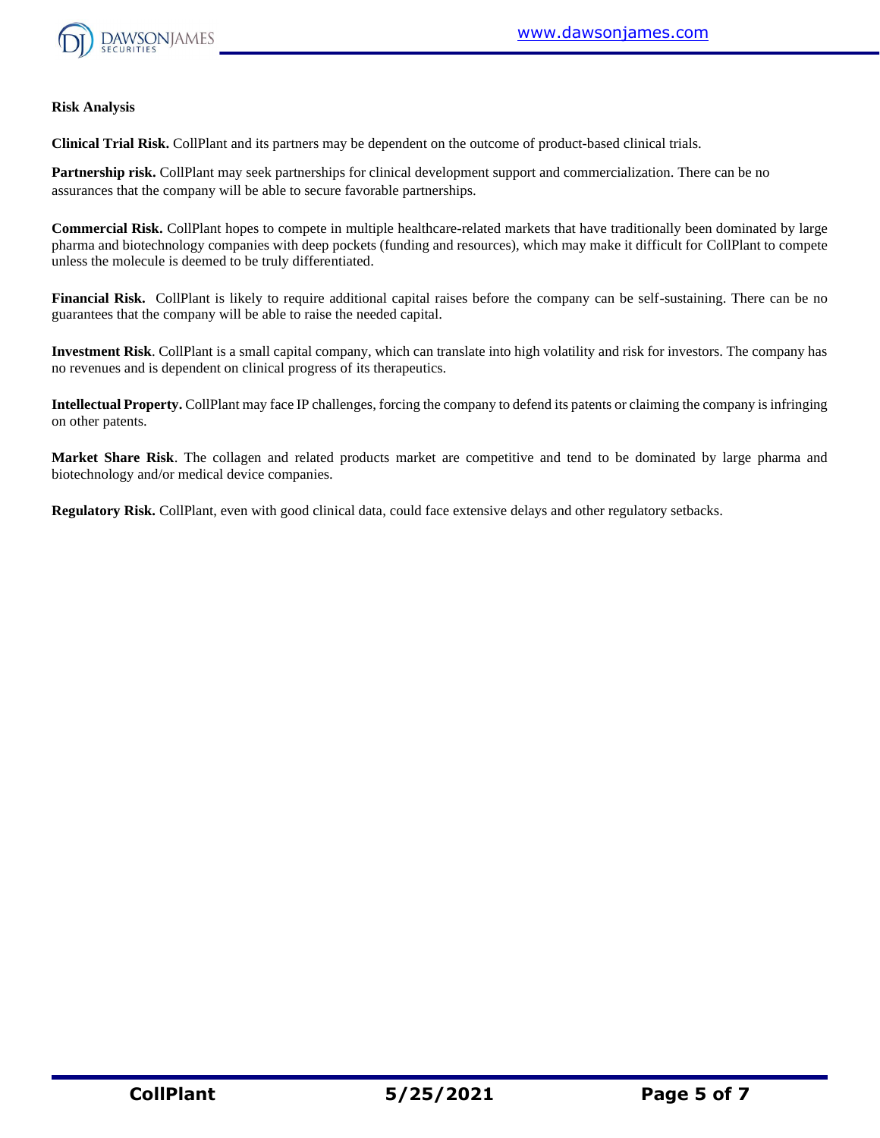

#### **Risk Analysis**

**Clinical Trial Risk.** CollPlant and its partners may be dependent on the outcome of product-based clinical trials.

**Partnership risk.** CollPlant may seek partnerships for clinical development support and commercialization. There can be no assurances that the company will be able to secure favorable partnerships.

**Commercial Risk.** CollPlant hopes to compete in multiple healthcare-related markets that have traditionally been dominated by large pharma and biotechnology companies with deep pockets (funding and resources), which may make it difficult for CollPlant to compete unless the molecule is deemed to be truly differentiated.

**Financial Risk.** CollPlant is likely to require additional capital raises before the company can be self-sustaining. There can be no guarantees that the company will be able to raise the needed capital.

**Investment Risk**. CollPlant is a small capital company, which can translate into high volatility and risk for investors. The company has no revenues and is dependent on clinical progress of its therapeutics.

**Intellectual Property.** CollPlant may face IP challenges, forcing the company to defend its patents or claiming the company is infringing on other patents.

**Market Share Risk**. The collagen and related products market are competitive and tend to be dominated by large pharma and biotechnology and/or medical device companies.

**Regulatory Risk.** CollPlant, even with good clinical data, could face extensive delays and other regulatory setbacks.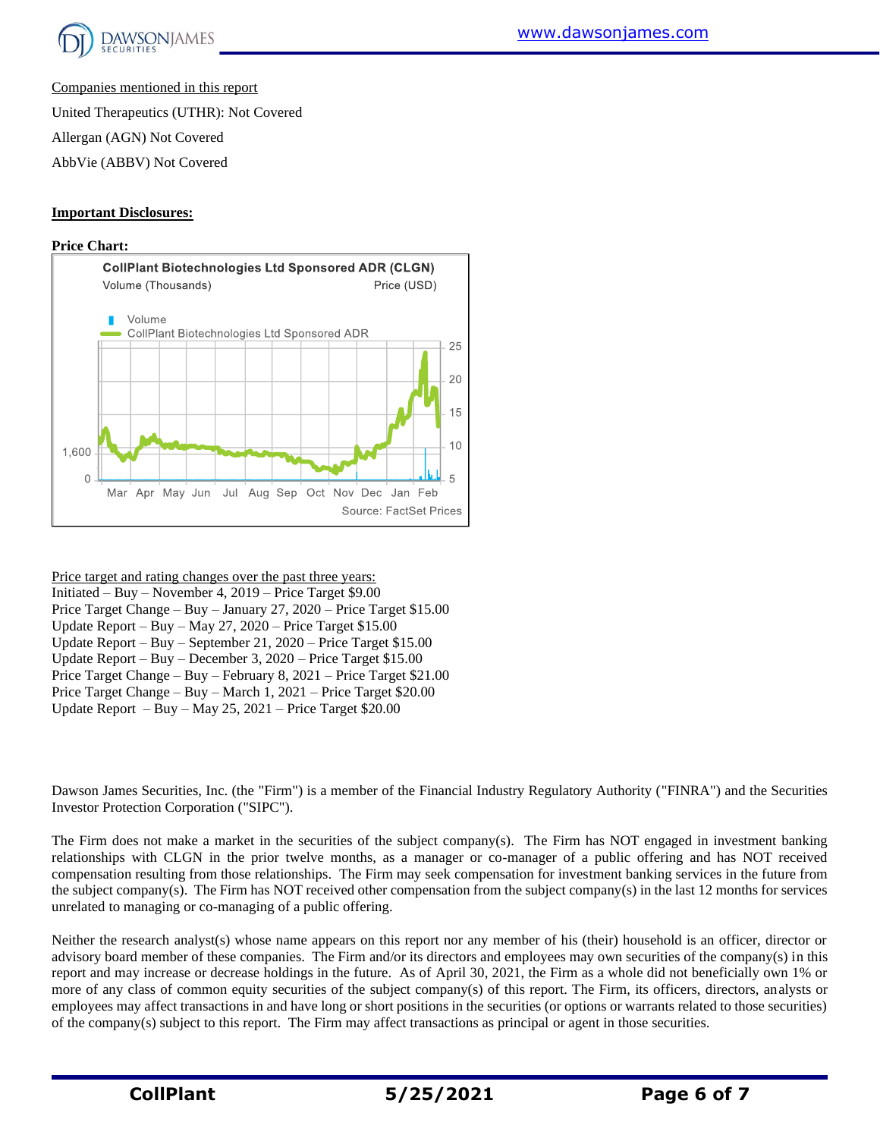

Companies mentioned in this report

United Therapeutics (UTHR): Not Covered

Allergan (AGN) Not Covered

AbbVie (ABBV) Not Covered

#### **Important Disclosures:**

#### **Price Chart:**



Price target and rating changes over the past three years:

Initiated – Buy – November 4, 2019 – Price Target \$9.00 Price Target Change – Buy – January 27, 2020 – Price Target \$15.00 Update Report – Buy – May 27, 2020 – Price Target \$15.00 Update Report – Buy – September 21, 2020 – Price Target \$15.00 Update Report – Buy – December 3, 2020 – Price Target \$15.00 Price Target Change – Buy – February 8, 2021 – Price Target \$21.00 Price Target Change – Buy – March 1, 2021 – Price Target \$20.00 Update Report – Buy – May 25, 2021 – Price Target \$20.00

Dawson James Securities, Inc. (the "Firm") is a member of the Financial Industry Regulatory Authority ("FINRA") and the Securities Investor Protection Corporation ("SIPC").

The Firm does not make a market in the securities of the subject company(s). The Firm has NOT engaged in investment banking relationships with CLGN in the prior twelve months, as a manager or co-manager of a public offering and has NOT received compensation resulting from those relationships. The Firm may seek compensation for investment banking services in the future from the subject company(s). The Firm has NOT received other compensation from the subject company(s) in the last 12 months for services unrelated to managing or co-managing of a public offering.

Neither the research analyst(s) whose name appears on this report nor any member of his (their) household is an officer, director or advisory board member of these companies. The Firm and/or its directors and employees may own securities of the company(s) in this report and may increase or decrease holdings in the future. As of April 30, 2021, the Firm as a whole did not beneficially own 1% or more of any class of common equity securities of the subject company(s) of this report. The Firm, its officers, directors, analysts or employees may affect transactions in and have long or short positions in the securities (or options or warrants related to those securities) of the company(s) subject to this report. The Firm may affect transactions as principal or agent in those securities.